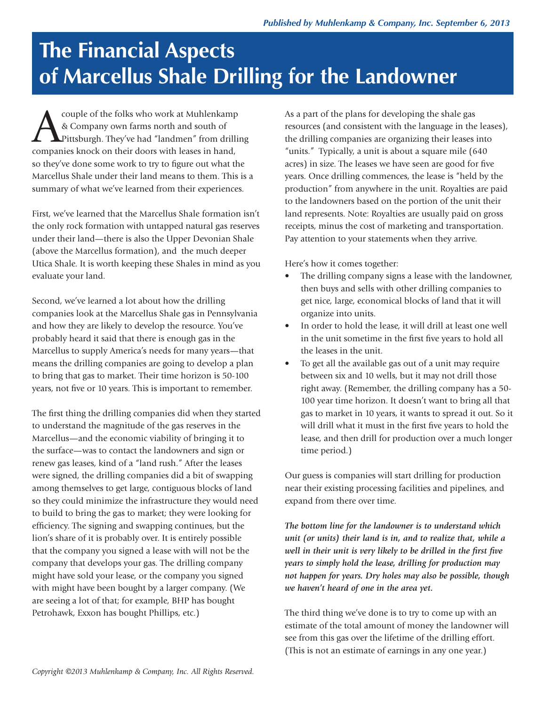## **The Financial Aspects of Marcellus Shale Drilling for the Landowner**

Couple of the folks who work at Muhlenkamp<br>& Company own farms north and south of<br>Pittsburgh. They've had "landmen" from drillin<br>Companies knock on their doors with leases in hand & Company own farms north and south of Pittsburgh. They've had "landmen" from drilling companies knock on their doors with leases in hand, so they've done some work to try to figure out what the Marcellus Shale under their land means to them. This is a summary of what we've learned from their experiences.

First, we've learned that the Marcellus Shale formation isn't the only rock formation with untapped natural gas reserves under their land—there is also the Upper Devonian Shale (above the Marcellus formation), and the much deeper Utica Shale. It is worth keeping these Shales in mind as you evaluate your land.

Second, we've learned a lot about how the drilling companies look at the Marcellus Shale gas in Pennsylvania and how they are likely to develop the resource. You've probably heard it said that there is enough gas in the Marcellus to supply America's needs for many years—that means the drilling companies are going to develop a plan to bring that gas to market. Their time horizon is 50-100 years, not five or 10 years. This is important to remember.

The first thing the drilling companies did when they started to understand the magnitude of the gas reserves in the Marcellus—and the economic viability of bringing it to the surface—was to contact the landowners and sign or renew gas leases, kind of a "land rush." After the leases were signed, the drilling companies did a bit of swapping among themselves to get large, contiguous blocks of land so they could minimize the infrastructure they would need to build to bring the gas to market; they were looking for efficiency. The signing and swapping continues, but the lion's share of it is probably over. It is entirely possible that the company you signed a lease with will not be the company that develops your gas. The drilling company might have sold your lease, or the company you signed with might have been bought by a larger company. (We are seeing a lot of that; for example, BHP has bought Petrohawk, Exxon has bought Phillips, etc.)

As a part of the plans for developing the shale gas resources (and consistent with the language in the leases), the drilling companies are organizing their leases into "units." Typically, a unit is about a square mile (640 acres) in size. The leases we have seen are good for five years. Once drilling commences, the lease is "held by the production" from anywhere in the unit. Royalties are paid to the landowners based on the portion of the unit their land represents. Note: Royalties are usually paid on gross receipts, minus the cost of marketing and transportation. Pay attention to your statements when they arrive.

Here's how it comes together:

- The drilling company signs a lease with the landowner, then buys and sells with other drilling companies to get nice, large, economical blocks of land that it will organize into units.
- In order to hold the lease, it will drill at least one well in the unit sometime in the first five years to hold all the leases in the unit.
- To get all the available gas out of a unit may require between six and 10 wells, but it may not drill those right away. (Remember, the drilling company has a 50- 100 year time horizon. It doesn't want to bring all that gas to market in 10 years, it wants to spread it out. So it will drill what it must in the first five years to hold the lease, and then drill for production over a much longer time period.)

Our guess is companies will start drilling for production near their existing processing facilities and pipelines, and expand from there over time.

*The bottom line for the landowner is to understand which unit (or units) their land is in, and to realize that, while a well in their unit is very likely to be drilled in the first five years to simply hold the lease, drilling for production may not happen for years. Dry holes may also be possible, though we haven't heard of one in the area yet.*

The third thing we've done is to try to come up with an estimate of the total amount of money the landowner will see from this gas over the lifetime of the drilling effort. (This is not an estimate of earnings in any one year.)